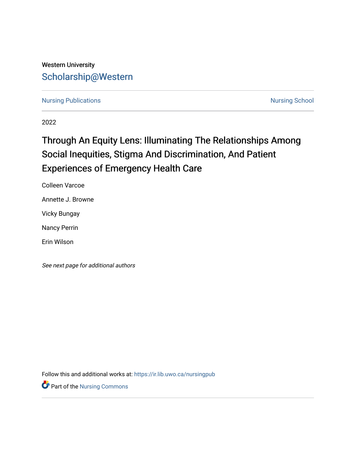## Western University [Scholarship@Western](https://ir.lib.uwo.ca/)

[Nursing Publications](https://ir.lib.uwo.ca/nursingpub) **Nursing School** 

2022

# Through An Equity Lens: Illuminating The Relationships Among Social Inequities, Stigma And Discrimination, And Patient Experiences of Emergency Health Care

Colleen Varcoe

Annette J. Browne

Vicky Bungay

Nancy Perrin

Erin Wilson

See next page for additional authors

Follow this and additional works at: [https://ir.lib.uwo.ca/nursingpub](https://ir.lib.uwo.ca/nursingpub?utm_source=ir.lib.uwo.ca%2Fnursingpub%2F381&utm_medium=PDF&utm_campaign=PDFCoverPages)

Part of the [Nursing Commons](http://network.bepress.com/hgg/discipline/718?utm_source=ir.lib.uwo.ca%2Fnursingpub%2F381&utm_medium=PDF&utm_campaign=PDFCoverPages)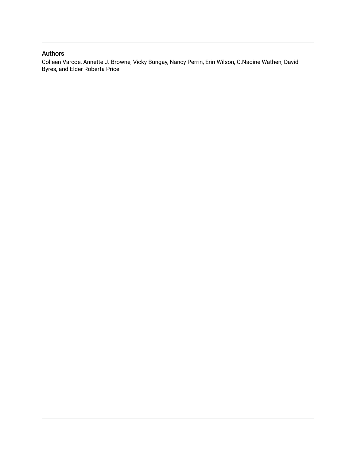## Authors

Colleen Varcoe, Annette J. Browne, Vicky Bungay, Nancy Perrin, Erin Wilson, C.Nadine Wathen, David Byres, and Elder Roberta Price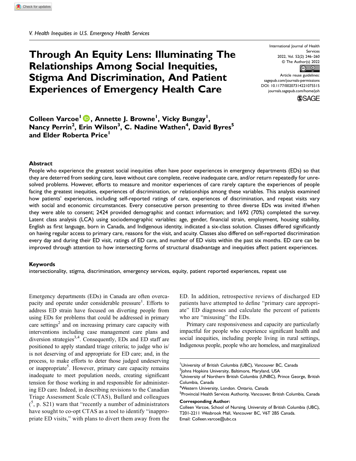## Through An Equity Lens: Illuminating The Relationships Among Social Inequities, Stigma And Discrimination, And Patient Experiences of Emergency Health Care

International Journal of Health Services 2022, Vol. 52(2) 246–260 © The Author(s) 2022  $\circ$   $\circ$ 

Article reuse guidelines: [sagepub.com/journals-permissions](https://us.sagepub.com/en-us/journals-permissions) DOI: 10.1177/00207314221075515 [journals.sagepub.com/home/joh](https://journals.sagepub.com/home/joh)



Colleen Varcoe<sup>l</sup> D, Annette J. Browne<sup>l</sup>, Vicky Bungay<sup>l</sup>, Nancy Perrin<sup>2</sup>, Erin Wilson<sup>3</sup>, C. Nadine Wathen<sup>4</sup>, David Byres<sup>5</sup> and Elder Roberta Price<sup>1</sup>

#### Abstract

People who experience the greatest social inequities often have poor experiences in emergency departments (EDs) so that they are deterred from seeking care, leave without care complete, receive inadequate care, and/or return repeatedly for unresolved problems. However, efforts to measure and monitor experiences of care rarely capture the experiences of people facing the greatest inequities, experiences of discrimination, or relationships among these variables. This analysis examined how patients' experiences, including self-reported ratings of care, experiences of discrimination, and repeat visits vary with social and economic circumstances. Every consecutive person presenting to three diverse EDs was invited if/when they were able to consent; 2424 provided demographic and contact information; and 1692 (70%) completed the survey. Latent class analysis (LCA) using sociodemographic variables: age, gender, financial strain, employment, housing stability, English as first language, born in Canada, and Indigenous identity, indicated a six-class solution. Classes differed significantly on having regular access to primary care, reasons for the visit, and acuity. Classes also differed on self-reported discrimination every day and during their ED visit, ratings of ED care, and number of ED visits within the past six months. ED care can be improved through attention to how intersecting forms of structural disadvantage and inequities affect patient experiences.

#### Keywords

intersectionality, stigma, discrimination, emergency services, equity, patient reported experiences, repeat use

Emergency departments (EDs) in Canada are often overcapacity and operate under considerable pressure<sup>1</sup>. Efforts to address ED strain have focused on diverting people from using EDs for problems that could be addressed in primary care settings<sup>2</sup> and on increasing primary care capacity with interventions including case management care plans and diversion strategies<sup>3,4</sup>. Consequently, EDs and ED staff are positioned to apply standard triage criteria; to judge who is/ is not deserving of and appropriate for ED care; and, in the process, to make efforts to deter those judged undeserving or inappropriate<sup>5</sup>. However, primary care capacity remains inadequate to meet population needs, creating significant tension for those working in and responsible for administering ED care. Indeed, in describing revisions to the Canadian Triage Assessment Scale (CTAS), Bullard and colleagues  $(5, p. S21)$  warn that "recently a number of administrators have sought to co-opt CTAS as a tool to identify "inappropriate ED visits," with plans to divert them away from the ED. In addition, retrospective reviews of discharged ED patients have attempted to define "primary care appropriate" ED diagnoses and calculate the percent of patients who are "misusing" the EDs.

Primary care responsiveness and capacity are particularly impactful for people who experience significant health and social inequities, including people living in rural settings, Indigenous people, people who are homeless, and marginalized

<sup>&</sup>lt;sup>1</sup>University of British Columbia (UBC), Vancouver BC, Canada

 $^{2}$ Johns Hopkins University, Baltimore, Maryland, USA

<sup>&</sup>lt;sup>3</sup>University of Northern British Columbia (UNBC), Prince George, British Columbia, Canada

<sup>4</sup> Western University, London. Ontario, Canada

<sup>&</sup>lt;sup>5</sup>Provincial Health Services Authority, Vancouver, British Columbia, Canada Corresponding Author:

Colleen Varcoe, School of Nursing, University of British Columbia (UBC), T201-2211 Wesbrook Mall, Vancouver BC, V6T 2B5 Canada. Email: [Colleen.varcoe@ubc.ca](mailto:Colleen.varcoe@ubc.ca)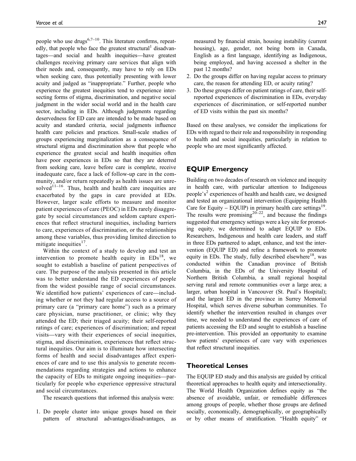people who use drugs<sup>6,7–10</sup>. This literature confirms, repeatedly, that people who face the greatest structural<sup>1</sup> disadvantages—and social and health inequities—have greatest challenges receiving primary care services that align with their needs and, consequently, may have to rely on EDs when seeking care, thus potentially presenting with lower acuity and judged as "inappropriate." Further, people who experience the greatest inequities tend to experience intersecting forms of stigma, discrimination, and negative social judgment in the wider social world and in the health care sector, including in EDs. Although judgments regarding deservedness for ED care are intended to be made based on acuity and standard criteria, social judgments influence health care policies and practices. Small-scale studies of groups experiencing marginalization as a consequence of structural stigma and discrimination show that people who experience the greatest social and health inequities often have poor experiences in EDs so that they are deterred from seeking care, leave before care is complete, receive inadequate care, face a lack of follow-up care in the community, and/or return repeatedly as health issues are unresolved<sup>11–16</sup>. Thus, health and health care inequities are exacerbated by the gaps in care provided at EDs. However, larger scale efforts to measure and monitor patient experiences of care (PEOC) in EDs rarely disaggregate by social circumstances and seldom capture experiences that reflect structural inequities, including barriers to care, experiences of discrimination, or the relationships among these variables, thus providing limited direction to mitigate inequities $17$ .

Within the context of a study to develop and test an intervention to promote health equity in  $EDs^{18}$ , we sought to establish a baseline of patient perspectives of care. The purpose of the analysis presented in this article was to better understand the ED experiences of people from the widest possible range of social circumstances. We identified how patients' experiences of care—including whether or not they had regular access to a source of primary care (a "primary care home") such as a primary care physician, nurse practitioner, or clinic; why they attended the ED; their triaged acuity; their self-reported ratings of care; experiences of discrimination; and repeat visits—vary with their experiences of social inequities, stigma, and discrimination, experiences that reflect structural inequities. Our aim is to illuminate how intersecting forms of health and social disadvantages affect experiences of care and to use this analysis to generate recommendations regarding strategies and actions to enhance the capacity of EDs to mitigate ongoing inequities—particularly for people who experience oppressive structural and social circumstances.

The research questions that informed this analysis were:

1. Do people cluster into unique groups based on their pattern of structural advantages/disadvantages, as

measured by financial strain, housing instability (current housing), age, gender, not being born in Canada, English as a first language, identifying as Indigenous, being employed, and having accessed a shelter in the past 12 months?

- 2. Do the groups differ on having regular access to primary care, the reason for attending ED, or acuity rating?
- 3. Do these groups differ on patient ratings of care, their selfreported experiences of discrimination in EDs, everyday experiences of discrimination, or self-reported number of ED visits within the past six months?

Based on these analyses, we consider the implications for EDs with regard to their role and responsibility in responding to health and social inequities, particularly in relation to people who are most significantly affected.

## EQUIP Emergency

Building on two decades of research on violence and inequity in health care, with particular attention to Indigenous people's<sup>2</sup> experiences of health and health care, we designed and tested an organizational intervention (Equipping Health Care for Equity – EQUIP) in primary health care settings<sup>19</sup>. The results were promising<sup>20–22</sup>, and because the findings suggested that emergency settings were a key site for promoting equity, we determined to adapt EQUIP to EDs. Researchers, Indigenous and health care leaders, and staff in three EDs partnered to adapt, enhance, and test the intervention (EQUIP ED) and refine a framework to promote equity in EDs. The study, fully described elsewhere<sup>18</sup>, was conducted within the Canadian province of British Columbia, in the EDs of the University Hospital of Northern British Columbia, a small regional hospital serving rural and remote communities over a large area; a larger, urban hospital in Vancouver (St. Paul's Hospital); and the largest ED in the province in Surrey Memorial Hospital, which serves diverse suburban communities. To identify whether the intervention resulted in changes over time, we needed to understand the experiences of care of patients accessing the ED and sought to establish a baseline pre-intervention. This provided an opportunity to examine how patients' experiences of care vary with experiences that reflect structural inequities.

#### Theoretical Lenses

The EQUIP ED study and this analysis are guided by critical theoretical approaches to health equity and intersectionality. The World Health Organization defines equity as "the absence of avoidable, unfair, or remediable differences among groups of people, whether those groups are defined socially, economically, demographically, or geographically or by other means of stratification. "Health equity" or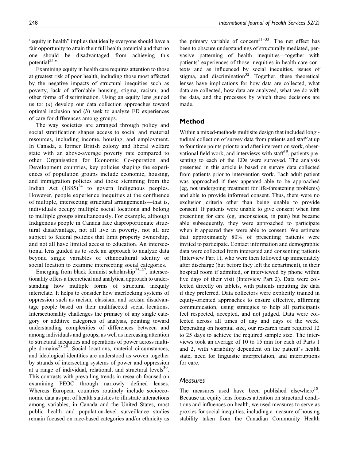"equity in health" implies that ideally everyone should have a fair opportunity to attain their full health potential and that no one should be disadvantaged from achieving this potential $^{23}$ ."

Examining equity in health care requires attention to those at greatest risk of poor health, including those most affected by the negative impacts of structural inequities such as poverty, lack of affordable housing, stigma, racism, and other forms of discrimination. Using an equity lens guided us to: (a) develop our data collection approaches toward optimal inclusion and  $(b)$  seek to analyze ED experiences of care for differences among groups.

The way societies are arranged through policy and social stratification shapes access to social and material resources, including income, housing, and employment. In Canada, a former British colony and liberal welfare state with an above-average poverty rate compared to other Organisation for Economic Co-operation and Development countries, key policies shaping the experiences of population groups include economic, housing, and immigration policies and those stemming from the Indian Act  $(1885)^{24}$  to govern Indigenous peoples. However, people experience inequities at the confluence of multiple, intersecting structural arrangements—that is, individuals occupy multiple social locations and belong to multiple groups simultaneously. For example, although Indigenous people in Canada face disproportionate structural disadvantage, not all live in poverty, not all are subject to federal policies that limit property ownership, and not all have limited access to education. An intersectional lens guided us to seek an approach to analyze data beyond single variables of ethnocultural identity or social location to examine intersecting social categories.

Emerging from black feminist scholarship<sup>25–27</sup>, intersectionality offers a theoretical and analytical approach to understanding how multiple forms of structural inequity interrelate. It helps to consider how interlocking systems of oppression such as racism, classism, and sexism disadvantage people based on their multifaceted social locations. Intersectionality challenges the primacy of any single category or additive categories of analysis, pointing toward understanding complexities of differences between and among individuals and groups, as well as increasing attention to structural inequities and operations of power across multiple domains<sup>28,29</sup>. Social locations, material circumstances, and ideological identities are understood as woven together by strands of intersecting systems of power and oppression at a range of individual, relational, and structural levels $30$ . This contrasts with prevailing trends in research focused on examining PEOC through narrowly defined lenses. Whereas European countries routinely include socioeconomic data as part of health statistics to illustrate interactions among variables, in Canada and the United States, most public health and population-level surveillance studies remain focused on race-based categories and/or ethnicity as the primary variable of concern<sup>31–33</sup>. The net effect has been to obscure understandings of structurally mediated, pervasive patterning of health inequities—together with patients' experiences of those inequities in health care contexts and as influenced by social inequities, issues of stigma, and discrimination<sup>32</sup>. Together, these theoretical lenses have implications for how data are collected, what data are collected, how data are analyzed, what we do with the data, and the processes by which these decisions are made.

### Method

Within a mixed-methods multisite design that included longitudinal collection of survey data from patients and staff at up to four time points prior to and after intervention work, observational field work, and interviews with staff<sup>18</sup>, patients presenting to each of the EDs were surveyed. The analysis presented in this article is based on survey data collected from patients prior to intervention work. Each adult patient was approached if they appeared able to be approached (eg, not undergoing treatment for life-threatening problems) and able to provide informed consent. Thus, there were no exclusion criteria other than being unable to provide consent. If patients were unable to give consent when first presenting for care (eg, unconscious, in pain) but became able subsequently, they were approached to participate when it appeared they were able to consent. We estimate that approximately 80% of presenting patients were invited to participate. Contact information and demographic data were collected from interested and consenting patients (Interview Part 1), who were then followed up immediately after discharge (but before they left the department), in their hospital room if admitted, or interviewed by phone within five days of their visit (Interview Part 2). Data were collected directly on tablets, with patients inputting the data if they preferred. Data collectors were explicitly trained in equity-oriented approaches to ensure effective, affirming communication, using strategies to help all participants feel respected, accepted, and not judged. Data were collected across all times of day and days of the week. Depending on hospital size, our research team required 12 to 25 days to achieve the required sample size. The interviews took an average of 10 to 15 min for each of Parts 1 and 2, with variability dependent on the patient's health state, need for linguistic interpretation, and interruptions for care.

#### Measures

The measures used have been published elsewhere $18$ . Because an equity lens focuses attention on structural conditions and influences on health, we used measures to serve as proxies for social inequities, including a measure of housing stability taken from the Canadian Community Health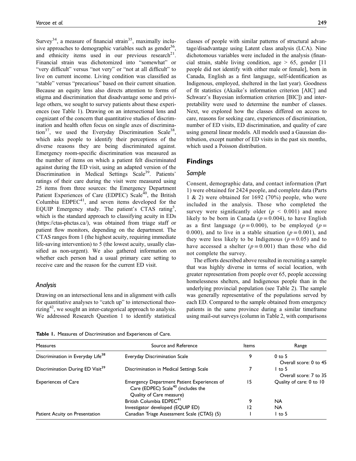Survey<sup>34</sup>, a measure of financial strain<sup>35</sup>, maximally inclusive approaches to demographic variables such as gender<sup>36</sup>. and ethnicity items used in our previous research<sup>21</sup>. Financial strain was dichotomized into "somewhat" or "very difficult" versus "not very" or "not at all difficult" to live on current income. Living condition was classified as "stable" versus "precarious" based on their current situation. Because an equity lens also directs attention to forms of stigma and discrimination that disadvantage some and privilege others, we sought to survey patients about these experiences (see Table 1). Drawing on an intersectional lens and cognizant of the concern that quantitative studies of discrimination and health often focus on single axes of discrimination<sup>37</sup>, we used the Everyday Discrimination Scale<sup>38</sup>, which asks people to identify their perceptions of the diverse reasons they are being discriminated against. Emergency room-specific discrimination was measured as the number of items on which a patient felt discriminated against during the ED visit, using an adapted version of the Discrimination in Medical Settings Scale<sup>39</sup>. Patients' ratings of their care during the visit were measured using 25 items from three sources: the Emergency Department Patient Experiences of Care (EDPEC) Scale<sup>40</sup>, the British Columbia  $EDPEC<sup>41</sup>$ , and seven items developed for the EQUIP Emergency study. The patient's CTAS rating<sup>5</sup>, which is the standard approach to classifying acuity in EDs [\(https://ctas-phctas.ca/](https://ctas-phctas.ca/)), was obtained from triage staff or patient flow monitors, depending on the department. The CTAS ranges from 1 (the highest acuity, requiring immediate life-saving intervention) to 5 (the lowest acuity, usually classified as non-urgent). We also gathered information on whether each person had a usual primary care setting to receive care and the reason for the current ED visit.

#### Analysis

Drawing on an intersectional lens and in alignment with calls for quantitative analyses to "catch up" to intersectional theorizing $42$ , we sought an inter-categorical approach to analysis. We addressed Research Question 1 to identify statistical classes of people with similar patterns of structural advantage/disadvantage using Latent class analysis (LCA). Nine dichotomous variables were included in the analysis (financial strain, stable living condition, age  $> 65$ , gender [11] people did not identify with either male or female], born in Canada, English as a first language, self-identification as Indigenous, employed, sheltered in the last year). Goodness of fit statistics (Akaike's information criterion [AIC] and Schwarz's Bayesian information criterion [BIC]) and interpretability were used to determine the number of classes. Next, we explored how the classes differed on access to care, reasons for seeking care, experiences of discrimination, number of ED visits, ED discrimination, and quality of care using general linear models. All models used a Gaussian distribution, except number of ED visits in the past six months, which used a Poisson distribution.

## Findings

## Sample

Consent, demographic data, and contact information (Part 1) were obtained for 2424 people, and complete data (Parts 1 & 2) were obtained for 1692 (70%) people, who were included in the analysis. Those who completed the survey were significantly older ( $p \leq 0.001$ ) and more likely to be born in Canada ( $p = 0.004$ ), to have English as a first language ( $p = 0.000$ ), to be employed ( $p =$ 0.000), and to live in a stable situation ( $p = 0.001$ ), and they were less likely to be Indigenous ( $p = 0.05$ ) and to have accessed a shelter  $(p = 0.001)$  than those who did not complete the survey.

The efforts described above resulted in recruiting a sample that was highly diverse in terms of social location, with greater representation from people over 65, people accessing homelessness shelters, and Indigenous people than in the underlying provincial population (see Table 2). The sample was generally representative of the populations served by each ED. Compared to the sample obtained from emergency patients in the same province during a similar timeframe using mail-out surveys (column in Table 2, with comparisons

Table 1. Measures of Discrimination and Experiences of Care.

| Measures                                      | Source and Reference                                                                          | Items | Range                                                        |  |
|-----------------------------------------------|-----------------------------------------------------------------------------------------------|-------|--------------------------------------------------------------|--|
| Discrimination in Everyday Life <sup>38</sup> | Everyday Discrimination Scale                                                                 | 9     | $0$ to 5                                                     |  |
| Discrimination During ED Visit <sup>39</sup>  | Discrimination in Medical Settings Scale                                                      |       | Overall score: 0 to 45<br>$1$ to 5<br>Overall score: 7 to 35 |  |
| <b>Experiences of Care</b>                    | Emergency Department Patient Experiences of<br>Care (EDPEC) Scale <sup>40</sup> (includes the | 15    | Quality of care: 0 to 10                                     |  |
|                                               | Quality of Care measure)<br>British Columbia EDPEC <sup>41</sup>                              | 9     | <b>NA</b>                                                    |  |
|                                               | Investigator developed (EQUIP ED)                                                             | 12    | <b>NA</b>                                                    |  |
| Patient Acuity on Presentation                | Canadian Triage Assessment Scale (CTAS) (5)                                                   |       | $1$ to 5                                                     |  |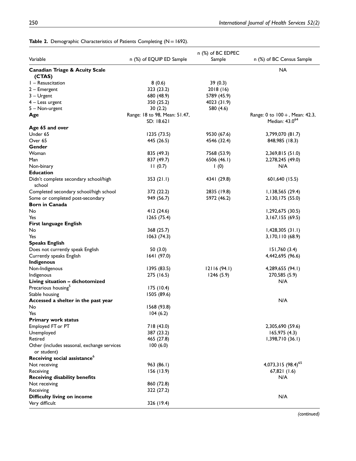÷

|                                                            |                               | n (%) of BC EDPEC |                                |
|------------------------------------------------------------|-------------------------------|-------------------|--------------------------------|
| Variable                                                   | n (%) of EQUIP ED Sample      | Sample            | n (%) of BC Census Sample      |
| <b>Canadian Triage &amp; Acuity Scale</b>                  |                               |                   | NA                             |
| (CTAS)                                                     |                               |                   |                                |
| I - Resuscitation                                          | 8(0.6)                        | 39(0.3)           |                                |
| $2 -$ Emergent                                             | 323 (23.2)                    | 2018 (16)         |                                |
| $3 - U$ rgent                                              | 680 (48.9)                    | 5789 (45.9)       |                                |
| $4 -$ Less urgent                                          | 350 (25.2)                    | 4023 (31.9)       |                                |
| 5 - Non-urgent                                             | 30(2.2)                       | 580 (4.6)         |                                |
| Age                                                        | Range: 18 to 98, Mean: 51.47, |                   | Range: 0 to 100 +, Mean: 42.3, |
|                                                            | SD: 18.621                    |                   | Median: 43.0 <sup>64</sup>     |
| Age 65 and over                                            |                               |                   |                                |
| Under 65                                                   | 1235 (73.5)                   | 9530 (67.6)       | 3,799,070 (81.7)               |
| Over 65                                                    | 445 (26.5)                    | 4546 (32.4)       | 848,985 (18.3)                 |
| Gender                                                     |                               |                   |                                |
| Woman                                                      | 835 (49.3)                    | 7568 (53.9)       | 2,369,815 (51.0)               |
| Man                                                        | 837 (49.7)                    | 6506 (46.1)       | 2,278,245 (49.0)               |
| Non-binary                                                 | 11(0.7)                       | 1(0)              | N/A                            |
| <b>Education</b>                                           |                               |                   |                                |
| Didn't complete secondary school/high<br>school            | 353(21.1)                     | 4341 (29.8)       | 601,640 (15.5)                 |
| Completed secondary school/high school                     | 372 (22.2)                    | 2835 (19.8)       | I, 138, 565 (29.4)             |
| Some or completed post-secondary                           | 949 (56.7)                    | 5972 (46.2)       | 2, 130, 175 (55.0)             |
| <b>Born in Canada</b>                                      |                               |                   |                                |
| No                                                         | 412 (24.6)                    |                   | 1,292,675 (30.5)               |
| Yes                                                        | 1265(75.4)                    |                   | 3,167,155 (69.5)               |
| <b>First language English</b>                              |                               |                   |                                |
| No                                                         | 368 (25.7)                    |                   | 1,428,305(31.1)                |
| Yes                                                        | 1063(74.3)                    |                   | 3,170,110 (68.9)               |
| <b>Speaks English</b>                                      |                               |                   |                                |
| Does not currently speak English                           | 50 (3.0)                      |                   | 151,760(3.4)                   |
| Currently speaks English                                   | 1641(97.0)                    |                   | 4,442,695 (96.6)               |
| <b>Indigenous</b>                                          |                               |                   |                                |
| Non-Indigenous                                             | 1395 (83.5)                   | 12116(94.1)       | 4,289,655 (94.1)               |
| Indigenous                                                 | 275 (16.5)                    | 1246(5.9)         | 270,585 (5.9)                  |
| Living situation - dichotomized                            |                               |                   | N/A                            |
| Precarious housing <sup>5</sup>                            | 175(10.4)                     |                   |                                |
| Stable housing                                             | 1505 (89.6)                   |                   |                                |
| Accessed a shelter in the past year                        |                               |                   | N/A                            |
| No                                                         | 1568 (93.8)                   |                   |                                |
| Yes                                                        | 104(6.2)                      |                   |                                |
| <b>Primary work status</b>                                 |                               |                   |                                |
| Employed FT or PT                                          | 718 (43.0)                    |                   | 2,305,690 (59.6)               |
| Unemployed                                                 | 387 (23.2)                    |                   | 165,975(4.3)                   |
| Retired                                                    | 465 (27.8)                    |                   | 1,398,710(36.1)                |
| Other (includes seasonal, exchange services<br>or student) | 100(6.0)                      |                   |                                |
| Receiving social assistance <sup>6</sup>                   |                               |                   |                                |
| Not receiving                                              | 963 (86.1)                    |                   | 4,073,315 (98.4) <sup>65</sup> |
| Receiving                                                  | 156(13.9)                     |                   | 67,821(1.6)                    |
| <b>Receiving disability benefits</b>                       |                               |                   | N/A                            |
| Not receiving                                              | 860 (72.8)                    |                   |                                |
| Receiving                                                  | 322 (27.2)                    |                   |                                |
| <b>Difficulty living on income</b>                         |                               |                   | N/A                            |
| Very difficult                                             | 326 (19.4)                    |                   |                                |
|                                                            |                               |                   |                                |

## Table 2. Demographic Characteristics of Patients Completing ( $N = 1692$ ).

(continued)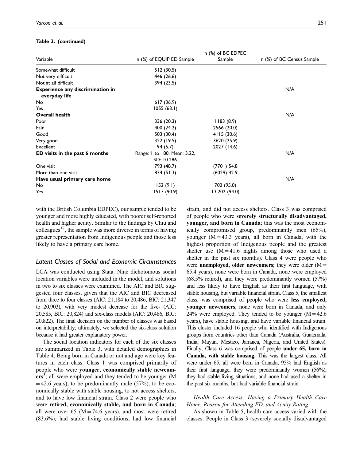#### Table 2. (continued)

|                                         |                              | n (%) of BC EDPEC |                           |
|-----------------------------------------|------------------------------|-------------------|---------------------------|
| Variable                                | n (%) of EQUIP ED Sample     | Sample            | n (%) of BC Census Sample |
| Somewhat difficult                      | 512 (30.5)                   |                   |                           |
| Not very difficult                      | 446 (26.6)                   |                   |                           |
| Not at all difficult                    | 394 (23.5)                   |                   |                           |
| <b>Experience any discrimination in</b> |                              |                   | N/A                       |
| everyday life                           |                              |                   |                           |
| No                                      | 617(36.9)                    |                   |                           |
| Yes                                     | 1055 (63.1)                  |                   |                           |
| <b>Overall health</b>                   |                              |                   | N/A                       |
| Poor                                    | 336 (20.3)                   | 1183(8.9)         |                           |
| Fair                                    | 400 (24.2)                   | 2566 (20.0)       |                           |
| Good                                    | 503 (30.4)                   | 4115 (30.6)       |                           |
| Very good                               | 322 (19.5)                   | 3620 (25.9)       |                           |
| Excellent                               | 94 (5.7)                     | 2027 (14.6)       |                           |
| ED visits in the past 6 months          | Range: 1 to 180, Mean: 3.22, |                   | N/A                       |
|                                         | SD: 10.286                   |                   |                           |
| One visit                               | 793 (48.7)                   | $(7701)$ 54.8     |                           |
| More than one visit                     | 834 (51.3)                   | $(6029)$ 42.9     |                           |
| Have usual primary care home            |                              |                   | N/A                       |
| No                                      | 152(9.1)                     | 702 (95.0)        |                           |
| Yes                                     | 1517 (90.9)                  | 13,202 (94.0)     |                           |

with the British Columbia EDPEC), our sample tended to be younger and more highly educated, with poorer self-reported health and higher acuity. Similar to the findings by Chiu and colleagues<sup>17</sup>, the sample was more diverse in terms of having greater representation from Indigenous people and those less likely to have a primary care home.

#### Latent Classes of Social and Economic Circumstances

LCA was conducted using Stata. Nine dichotomous social location variables were included in the model, and solutions in two to six classes were examined. The AIC and BIC suggested four classes, given that the AIC and BIC decreased from three to four classes (AIC: 21,184 to 20,486, BIC: 21,347 to 20,903), with very modest decrease for the five- (AIC: 20,585, BIC: 20,824) and six-class models (AIC: 20,486, BIC: 20,822). The final decision on the number of classes was based on interpretability; ultimately, we selected the six-class solution because it had greater explanatory power.

The social location indicators for each of the six classes are summarized in Table 3, with detailed demographics in Table 4. Being born in Canada or not and age were key features in each class. Class 1 was comprised primarily of people who were younger, economically stable newcom- $\text{ers}^3$ ; all were employed and they tended to be younger (M  $=42.6$  years), to be predominantly male (57%), to be economically stable with stable housing, to not access shelters, and to have low financial strain. Class 2 were people who were retired, economically stable, and born in Canada; all were over 65 ( $M = 74.6$  years), and most were retired (83.6%), had stable living conditions, had low financial strain, and did not access shelters. Class 3 was comprised of people who were severely structurally disadvantaged, younger, and born in Canada; this was the most economically compromised group, predominantly men (65%), younger  $(M = 43.3$  years), all born in Canada, with the highest proportion of Indigenous people and the greatest shelter use  $(M = 41.6$  nights among those who used a shelter in the past six months). Class 4 were people who were **unemployed**, older newcomers; they were older  $(M=$ 65.4 years), none were born in Canada, none were employed (68.5% retired), and they were predominantly women (57%) and less likely to have English as their first language, with stable housing, but variable financial strain. Class 5, the smallest class, was comprised of people who were less employed, younger newcomers; none were born in Canada, and only  $24\%$  were employed. They tended to be younger (M = 42.6) years), have stable housing, and have variable financial strain. This cluster included 16 people who identified with Indigenous groups from countries other than Canada (Australia, Guatemala, India, Mayan, Mestizo, Jamaica, Nigeria, and United States). Finally, Class 6 was comprised of people under 65, born in Canada, with stable housing. This was the largest class. All were under 65, all were born in Canada, 95% had English as their first language, they were predominantly women (56%), they had stable living situations, and none had used a shelter in the past six months, but had variable financial strain.

#### Health Care Access: Having a Primary Health Care Home, Reason for Attending ED, and Acuity Rating

As shown in Table 5, health care access varied with the classes. People in Class 3 (severely socially disadvantaged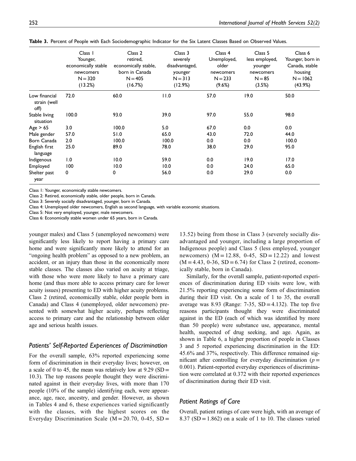|                                       | Class 1<br>Younger,<br>economically stable<br>newcomers<br>$N = 320$<br>(13.2%) | Class 2<br>retired,<br>economically stable,<br>born in Canada<br>$N = 405$<br>(16.7%) | Class 3<br>severely<br>disadvantaged,<br>younger<br>$N = 313$<br>(12.9%) | Class 4<br>Unemployed,<br>older<br>newcomers<br>$N = 233$<br>(9.6%) | Class 5<br>less employed,<br>younger<br>newcomers<br>$N = 85$<br>(3.5%) | Class 6<br>Younger, born in<br>Canada, stable<br>housing<br>$N = 1062$<br>(43.9%) |
|---------------------------------------|---------------------------------------------------------------------------------|---------------------------------------------------------------------------------------|--------------------------------------------------------------------------|---------------------------------------------------------------------|-------------------------------------------------------------------------|-----------------------------------------------------------------------------------|
| Low financial<br>strain (well<br>off) | 72.0                                                                            | 60.0                                                                                  | 11.0                                                                     | 57.0                                                                | 19.0                                                                    | 50.0                                                                              |
| Stable living<br>situation            | 100.0                                                                           | 93.0                                                                                  | 39.0                                                                     | 97.0                                                                | 55.0                                                                    | 98.0                                                                              |
| Age $> 65$                            | 3.0                                                                             | 100.0                                                                                 | 5.0                                                                      | 67.0                                                                | 0.0                                                                     | 0.0                                                                               |
| Male gender                           | 57.0                                                                            | 51.0                                                                                  | 65.0                                                                     | 43.0                                                                | 72.0                                                                    | 44.0                                                                              |
| Born Canada                           | 2.0                                                                             | 100.0                                                                                 | 100.0                                                                    | 0.0                                                                 | 0.0                                                                     | 100.0                                                                             |
| English first<br>language             | 25.0                                                                            | 89.0                                                                                  | 78.0                                                                     | 38.0                                                                | 29.0                                                                    | 95.0                                                                              |
| Indigenous                            | 1.0                                                                             | 10.0                                                                                  | 59.0                                                                     | 0.0                                                                 | 19.0                                                                    | 17.0                                                                              |
| Employed                              | 100                                                                             | 10.0                                                                                  | 10.0                                                                     | 0.0                                                                 | 24.0                                                                    | 65.0                                                                              |
| Shelter past<br>year                  | 0                                                                               | 0                                                                                     | 56.0                                                                     | 0.0                                                                 | 29.0                                                                    | 0.0                                                                               |

Table 3. Percent of People with Each Sociodemographic Indicator for the Six Latent Classes Based on Observed Values.

Class 1: Younger, economically stable newcomers.

Class 2: Retired, economically stable, older people, born in Canada.

Class 3: Severely socially disadvantaged, younger, born in Canada.

Class 4: Unemployed older newcomers, English as second language, with variable economic situations.

Class 5: Not very employed, younger, male newcomers.

Class 6: Economically stable women under 65 years, born in Canada.

younger males) and Class 5 (unemployed newcomers) were significantly less likely to report having a primary care home and were significantly more likely to attend for an "ongoing health problem" as opposed to a new problem, an accident, or an injury than those in the economically more stable classes. The classes also varied on acuity at triage, with those who were more likely to have a primary care home (and thus more able to access primary care for lower acuity issues) presenting to ED with higher acuity problems. Class 2 (retired, economically stable, older people born in Canada) and Class 4 (unemployed, older newcomers) presented with somewhat higher acuity, perhaps reflecting access to primary care and the relationship between older age and serious health issues.

#### Patients' Self-Reported Experiences of Discrimination

For the overall sample, 63% reported experiencing some form of discrimination in their everyday lives; however, on a scale of 0 to 45, the mean was relatively low at  $9.29$  (SD = 10.3). The top reasons people thought they were discriminated against in their everyday lives, with more than 170 people (10% of the sample) identifying each, were appearance, age, race, ancestry, and gender. However, as shown in Tables 4 and 6, these experiences varied significantly with the classes, with the highest scores on the Everyday Discrimination Scale ( $M = 20.70$ , 0-45, SD = 13.52) being from those in Class 3 (severely socially disadvantaged and younger, including a large proportion of Indigenous people) and Class 5 (less employed, younger newcomers)  $(M = 12.88, 0.45, SD = 12.22)$  and lowest  $(M = 4.43, 0.36, SD = 6.74)$  for Class 2 (retired, economically stable, born in Canada).

Similarly, for the overall sample, patient-reported experiences of discrimination during ED visits were low, with 21.5% reporting experiencing some form of discrimination during their ED visit. On a scale of 1 to 35, the overall average was 8.93 (Range:  $7-35$ , SD = 4.132). The top five reasons participants thought they were discriminated against in the ED (each of which was identified by more than 50 people) were substance use, appearance, mental health, suspected of drug seeking, and age. Again, as shown in Table 6, a higher proportion of people in Classes 3 and 5 reported experiencing discrimination in the ED: 45.6% and 37%, respectively. This difference remained significant after controlling for everyday discrimination ( $p=$ 0.001). Patient-reported everyday experiences of discrimination were correlated at 0.372 with their reported experiences of discrimination during their ED visit.

#### Patient Ratings of Care

Overall, patient ratings of care were high, with an average of 8.37 (SD = 1.862) on a scale of 1 to 10. The classes varied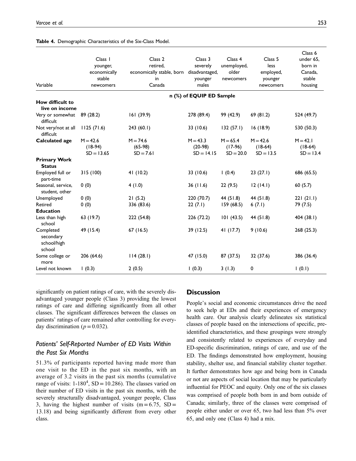| Variable                                        | Class 1<br>younger,<br>economically<br>stable<br>newcomers | Class 2<br>retired,<br>economically stable, born disadvantaged,<br>in<br>Canada | Class 3<br>severely<br>younger<br>males | Class <sub>4</sub><br>unemployed,<br>older<br>newcomers | Class <sub>5</sub><br>less<br>employed,<br>younger<br>newcomers | Class 6<br>under 65,<br>born in<br>Canada,<br>stable<br>housing |  |  |  |
|-------------------------------------------------|------------------------------------------------------------|---------------------------------------------------------------------------------|-----------------------------------------|---------------------------------------------------------|-----------------------------------------------------------------|-----------------------------------------------------------------|--|--|--|
|                                                 |                                                            | n (%) of EQUIP ED Sample                                                        |                                         |                                                         |                                                                 |                                                                 |  |  |  |
| How difficult to<br>live on income              |                                                            |                                                                                 |                                         |                                                         |                                                                 |                                                                 |  |  |  |
| Very or somewhat<br>difficult                   | 89 (28.2)                                                  | 161(39.9)                                                                       | 278 (89.4)                              | 99 (42.9)                                               | 69 (81.2)                                                       | 524 (49.7)                                                      |  |  |  |
| Not very/not at all<br>difficult                | 1125(71.6)                                                 | 243(60.1)                                                                       | 33 (10.6)                               | 132(57.1)                                               | 16 (18.9)                                                       | 530 (50.3)                                                      |  |  |  |
| <b>Calculated age</b>                           | $M = 42.6$<br>$(18-94)$<br>$SD = 13.65$                    | $M = 74.6$<br>$(65-98)$<br>$SD = 7.61$                                          | $M = 43.3$<br>$(20-98)$<br>$SD = 14.15$ | $M = 65.4$<br>$(17-96)$<br>$SD = 20.0$                  | $M = 42.6$<br>$(18-64)$<br>$SD = 13.5$                          | $M = 42.1$<br>$(18-64)$<br>$SD = 13.4$                          |  |  |  |
| <b>Primary Work</b><br><b>Status</b>            |                                                            |                                                                                 |                                         |                                                         |                                                                 |                                                                 |  |  |  |
| Employed full or<br>part-time                   | 315 (100)                                                  | 41 (10.2)                                                                       | 33 (10.6)                               | 1(0.4)                                                  | 23(27.1)                                                        | 686 (65.5)                                                      |  |  |  |
| Seasonal, service,<br>student. other            | 0(0)                                                       | 4(1.0)                                                                          | 36(11.6)                                | 22(9.5)                                                 | 12(14.1)                                                        | 60(5.7)                                                         |  |  |  |
| Unemployed                                      | 0(0)                                                       | 21(5.2)                                                                         | 220 (70.7)                              | 44 (51.8)                                               | 44 (51.8)                                                       | 221(21.1)                                                       |  |  |  |
| Retired                                         | 0(0)                                                       | 336 (83.6)                                                                      | 22(7.1)                                 | 159(68.5)                                               | 6(7.1)                                                          | 79 (7.5)                                                        |  |  |  |
| <b>Education</b>                                |                                                            |                                                                                 |                                         |                                                         |                                                                 |                                                                 |  |  |  |
| Less than high<br>school                        | 63 (19.7)                                                  | 222 (54.8)                                                                      | 226 (72.2)                              | 101(43.5)                                               | 44 (51.8)                                                       | 404 (38.1)                                                      |  |  |  |
| Completed<br>secondary<br>school/high<br>school | 49 (15.4)                                                  | 67(16.5)                                                                        | 39 (12.5)                               | 41(17.7)                                                | 9(10.6)                                                         | 268 (25.3)                                                      |  |  |  |
| Some college or<br>more                         | 206 (64.6)                                                 | 114(28.1)                                                                       | 47 (15.0)                               | 87 (37.5)                                               | 32 (37.6)                                                       | 386 (36.4)                                                      |  |  |  |
| Level not known                                 | 1(0.3)                                                     | 2(0.5)                                                                          | 1(0.3)                                  | 3(1.3)                                                  | 0                                                               | 1(0.1)                                                          |  |  |  |

#### Table 4. Demographic Characteristics of the Six-Class Model.

significantly on patient ratings of care, with the severely disadvantaged younger people (Class 3) providing the lowest ratings of care and differing significantly from all other classes. The significant differences between the classes on patients' ratings of care remained after controlling for everyday discrimination ( $p=0.032$ ).

## Patients' Self-Reported Number of ED Visits Within the Past Six Months

51.3% of participants reported having made more than one visit to the ED in the past six months, with an average of 3.2 visits in the past six months (cumulative range of visits:  $1-180^4$ , SD = 10.286). The classes varied on their number of ED visits in the past six months, with the severely structurally disadvantaged, younger people, Class 3, having the highest number of visits  $(m = 6.75, SD =$ 13.18) and being significantly different from every other class.

## **Discussion**

People's social and economic circumstances drive the need to seek help at EDs and their experiences of emergency health care. Our analysis clearly delineates six statistical classes of people based on the intersections of specific, preidentified characteristics, and these groupings were strongly and consistently related to experiences of everyday and ED-specific discrimination, ratings of care, and use of the ED. The findings demonstrated how employment, housing stability, shelter use, and financial stability cluster together. It further demonstrates how age and being born in Canada or not are aspects of social location that may be particularly influential for PEOC and equity. Only one of the six classes was comprised of people both born in and born outside of Canada; similarly, three of the classes were comprised of people either under or over 65, two had less than 5% over 65, and only one (Class 4) had a mix.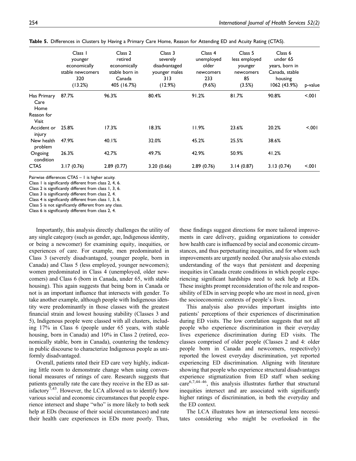|                             | Class 1<br>younger<br>economically<br>stable newcomers<br>320<br>(13.2%) | Class 2<br>retired<br>economically<br>stable born in<br>Canada<br>405 (16.7%) | Class 3<br>severely<br>disadvantaged<br>younger males<br>313<br>(12.9%) | Class 4<br>unemployed<br>older<br>newcomers<br>233<br>(9.6%) | Class 5<br>less employed<br>younger<br>newcomers<br>85<br>(3.5%) | Class 6<br>under 65<br>years, born in<br>Canada, stable<br>housing<br>1062 (43.9%) | p-value |
|-----------------------------|--------------------------------------------------------------------------|-------------------------------------------------------------------------------|-------------------------------------------------------------------------|--------------------------------------------------------------|------------------------------------------------------------------|------------------------------------------------------------------------------------|---------|
| Has Primary<br>Care<br>Home | 87.7%                                                                    | 96.3%                                                                         | 80.4%                                                                   | 91.2%                                                        | 81.7%                                                            | 90.8%                                                                              | 5.001   |
| Reason for<br><b>Visit</b>  |                                                                          |                                                                               |                                                                         |                                                              |                                                                  |                                                                                    |         |
| Accident or<br>injury       | 25.8%                                                                    | 17.3%                                                                         | 18.3%                                                                   | 11.9%                                                        | 23.6%                                                            | 20.2%                                                                              | $500 -$ |
| New health<br>problem       | 47.9%                                                                    | 40.1%                                                                         | 32.0%                                                                   | 45.2%                                                        | 25.5%                                                            | 38.6%                                                                              |         |
| Ongoing<br>condition        | 26.3%                                                                    | 42.7%                                                                         | 49.7%                                                                   | 42.9%                                                        | 50.9%                                                            | 41.2%                                                                              |         |
| <b>CTAS</b>                 | 3.17(0.76)                                                               | 2.89(0.77)                                                                    | 3.20(0.66)                                                              | 2.89(0.76)                                                   | 3.14(0.87)                                                       | 3.13(0.74)                                                                         | 5.001   |

Table 5. Differences in Clusters by Having a Primary Care Home, Reason for Attending ED and Acuity Rating (CTAS).

Pairwise differences CTAS – 1 is higher acuity.

Class 1 is significantly different from class 2, 4, 6.

Class 2 is significantly different from class 1, 3, 6.

Class 3 is significantly different from class 2, 4.

Class 4 is significantly different from class 1, 3, 6.

Class 5 is not significantly different from any class. Class 6 is significantly different from class 2, 4.

Importantly, this analysis directly challenges the utility of any single category (such as gender, age, Indigenous identity, or being a newcomer) for examining equity, inequities, or experiences of care. For example, men predominated in Class 3 (severely disadvantaged, younger people, born in Canada) and Class 5 (less employed, younger newcomers); women predominated in Class 4 (unemployed, older newcomers) and Class 6 (born in Canada, under 65, with stable housing). This again suggests that being born in Canada or not is an important influence that intersects with gender. To take another example, although people with Indigenous identity were predominantly in those classes with the greatest financial strain and lowest housing stability (Classes 3 and 5), Indigenous people were classed with all clusters, including 17% in Class 6 (people under 65 years, with stable housing, born in Canada) and 10% in Class 2 (retired, economically stable, born in Canada), countering the tendency in public discourse to characterize Indigenous people as uniformly disadvantaged.

Overall, patients rated their ED care very highly, indicating little room to demonstrate change when using conventional measures of ratings of care. Research suggests that patients generally rate the care they receive in the ED as satisfactory<sup>7,43</sup>. However, the LCA allowed us to identify how various social and economic circumstances that people experience intersect and shape "who" is more likely to both seek help at EDs (because of their social circumstances) and rate their health care experiences in EDs more poorly. Thus, these findings suggest directions for more tailored improvements in care delivery, guiding organizations to consider how health care is influenced by social and economic circumstances, and thus perpetuating inequities, and for whom such improvements are urgently needed. Our analysis also extends understanding of the ways that persistent and deepening inequities in Canada create conditions in which people experiencing significant hardships need to seek help at EDs. These insights prompt reconsideration of the role and responsibility of EDs in serving people who are most in need, given the socioeconomic contexts of people's lives.

This analysis also provides important insights into patients' perceptions of their experiences of discrimination during ED visits. The low correlation suggests that not all people who experience discrimination in their everyday lives experience discrimination during ED visits. The classes comprised of older people (Classes 2 and 4: older people born in Canada and newcomers, respectively) reported the lowest everyday discrimination, yet reported experiencing ED discrimination. Aligning with literature showing that people who experience structural disadvantages experience stigmatization from ED staff when seeking care6,7,44–46, this analysis illustrates further that structural inequities intersect and are associated with significantly higher ratings of discrimination, in both the everyday and the ED context.

The LCA illustrates how an intersectional lens necessitates considering who might be overlooked in the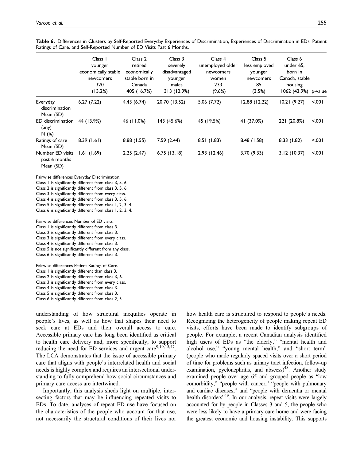|                                                | Class 1<br>younger<br>economically stable<br>newcomers<br>320<br>(13.2%) | Class 2<br>retired<br>economically<br>stable born in<br>Canada<br>405 (16.7%) | Class 3<br>severely<br>disadvantaged<br>younger<br>males<br>313 (12.9%) | Class 4<br>unemployed older<br>newcomers<br>women<br>233<br>(9.6%) | Class 5<br>less employed<br>younger<br>newcomers<br>85<br>(3.5%) | Class 6<br>under 65,<br>born in<br>Canada, stable<br>housing<br>1062 (43.9%) p-value |         |
|------------------------------------------------|--------------------------------------------------------------------------|-------------------------------------------------------------------------------|-------------------------------------------------------------------------|--------------------------------------------------------------------|------------------------------------------------------------------|--------------------------------------------------------------------------------------|---------|
| Everyday<br>discrimination<br>Mean (SD)        | 6.27(7.22)                                                               | 4.43(6.74)                                                                    | 20.70 (13.52)                                                           | 5.06(7.72)                                                         | 12.88(12.22)                                                     | 10.21(9.27)                                                                          | < 0.01  |
| ED discrimination<br>$(\text{any})$<br>N(%)    | 44 (13.9%)                                                               | 46 (11.0%)                                                                    | 143 (45.6%)                                                             | 45 (19.5%)                                                         | 41 (37.0%)                                                       | 221 (20.8%)                                                                          | < 0.001 |
| Ratings of care<br>Mean (SD)                   | 8.39(1.61)                                                               | 8.88 (1.55)                                                                   | 7.59(2.44)                                                              | 8.51(1.83)                                                         | 8.48(1.58)                                                       | 8.33(1.82)                                                                           | < 0.001 |
| Number ED visits<br>past 6 months<br>Mean (SD) | 1.61(1.69)                                                               | 2.25(2.47)                                                                    | 6.75(13.18)                                                             | 2.93(12.46)                                                        | 3.70(9.33)                                                       | 3.12(10.37)                                                                          | < 001   |

Table 6. Differences in Clusters by Self-Reported Everyday Experiences of Discrimination, Experiences of Discrimination in EDs, Patient Ratings of Care, and Self-Reported Number of ED Visits Past 6 Months.

Pairwise differences Everyday Discrimination.

Class 1 is significantly different from class 3, 5, 6.

Class 2 is significantly different from class 3, 5, 6.

Class 3 is significantly different from every class.

Class 4 is significantly different from class 3, 5, 6.

Class 5 is significantly different from class 1, 2, 3, 4. Class 6 is significantly different from class 1, 2, 3, 4.

Pairwise differences Number of ED visits.

Class 1 is significantly different from class 3. Class 2 is significantly different from class 3.

Class 3 is significantly different from every class.

Class 4 is significantly different from class 3.

Class 5 is not significantly different from any class.

Class 6 is significantly different from class 3.

Pairwise differences Patient Ratings of Care. Class 1 is significantly different than class 3. Class 2 is significantly different from class 3, 6. Class 3 is significantly different from every class. Class 4 is significantly different from class 3. Class 5 is significantly different from class 3. Class 6 is significantly different from class 2, 3.

understanding of how structural inequities operate in people's lives, as well as how that shapes their need to seek care at EDs and their overall access to care. Accessible primary care has long been identified as critical to health care delivery and, more specifically, to support reducing the need for ED services and urgent care $9,10,15,47$ . The LCA demonstrates that the issue of accessible primary care that aligns with people's interrelated health and social needs is highly complex and requires an intersectional understanding to fully comprehend how social circumstances and primary care access are intertwined.

Importantly, this analysis sheds light on multiple, intersecting factors that may be influencing repeated visits to EDs. To date, analyses of repeat ED use have focused on the characteristics of the people who account for that use, not necessarily the structural conditions of their lives nor how health care is structured to respond to people's needs. Recognizing the heterogeneity of people making repeat ED visits, efforts have been made to identify subgroups of people. For example, a recent Canadian analysis identified high users of EDs as "the elderly," "mental health and alcohol use," "young mental health," and "short term" (people who made regularly spaced visits over a short period of time for problems such as urinary tract infection, follow-up examination, pyelonephritis, and abscess)<sup>48</sup>. Another study examined people over age 65 and grouped people as "low comorbidity," "people with cancer," "people with pulmonary and cardiac diseases," and "people with dementia or mental health disorders"<sup>49</sup>. In our analysis, repeat visits were largely accounted for by people in Classes 3 and 5, the people who were less likely to have a primary care home and were facing the greatest economic and housing instability. This supports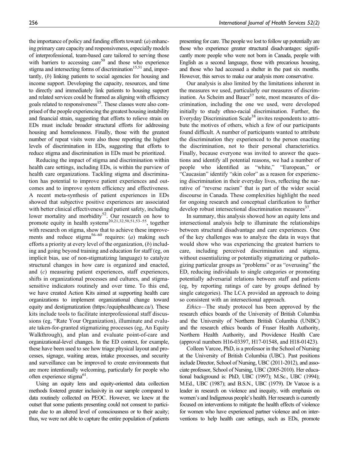the importance of policy and funding efforts toward:  $(a)$  enhancing primary care capacity and responsiveness, especially models of interprofessional, team-based care tailored to serving those with barriers to accessing care<sup>50</sup> and those who experience stigma and intersecting forms of discrimination<sup>15,51</sup> and, importantly, (b) linking patients to social agencies for housing and income support. Developing the capacity, resources, and time to directly and immediately link patients to housing support and related services could be framed as aligning with efficiency goals related to responsiveness<sup>15</sup>. These classes were also comprised of the people experiencing the greatest housing instability and financial strain, suggesting that efforts to relieve strain on EDs must include broader structural efforts for addressing housing and homelessness. Finally, those with the greatest number of repeat visits were also those reporting the highest levels of discrimination in EDs, suggesting that efforts to reduce stigma and discrimination in EDs must be prioritized.

Reducing the impact of stigma and discrimination within health care settings, including EDs, is within the purview of health care organizations. Tackling stigma and discrimination has potential to improve patient experiences and outcomes and to improve system efficiency and effectiveness. A recent meta-synthesis of patient experiences in EDs showed that subjective positive experiences are associated with better clinical effectiveness and patient safety, including lower mortality and morbidity<sup>52</sup>. Our research on how to promote equity in health systems<sup>20,21,32,50,51,53–55</sup>, together with research on stigma, show that to achieve these improvements and reduce stigma<sup>56–60</sup> requires: (a) making such efforts a priority at every level of the organization,  $(b)$  including and going beyond training and education for staff (eg, on implicit bias, use of non-stigmatizing language) to catalyze structural changes in how care is organized and enacted, and (c) measuring patient experiences, staff experiences, shifts in organizational processes and cultures, and stigmasensitive indicators routinely and over time. To this end, we have created Action Kits aimed at supporting health care organizations to implement organizational change toward equity and destigmatization (https://equiphealthcare.ca/). These kits include tools to facilitate interprofessional staff discussions (eg, "Rate Your Organization), illuminate and evaluate taken-for-granted stigmatizing processes (eg, An Equity Walkthrough), and plan and evaluate point-of-care and organizational-level changes. In the ED context, for example, these have been used to see how triage physical layout and processes, signage, waiting areas, intake processes, and security and surveillance can be improved to create environments that are more intentionally welcoming, particularly for people who often experience stigma<sup>61</sup>.

Using an equity lens and equity-oriented data collection methods fostered greater inclusivity in our sample compared to data routinely collected on PEOC. However, we knew at the outset that some patients presenting could not consent to participate due to an altered level of consciousness or to their acuity; thus, we were not able to capture the entire population of patients presenting for care. The people we lost to follow up potentially are those who experience greater structural disadvantages: significantly more people who were not born in Canada, people with English as a second language, those with precarious housing, and those who had accessed a shelter in the past six months. However, this serves to make our analysis more conservative.

Our analysis is also limited by the limitations inherent in the measures we used, particularly our measures of discrimination. As Scheim and Bauer<sup>37</sup> note, most measures of discrimination, including the one we used, were developed initially to study ethno-racial discrimination. Further, the Everyday Discrimination Scale<sup>38</sup> invites respondents to attribute the motives of others, which a few of our participants found difficult. A number of participants wanted to attribute the discrimination they experienced to the person enacting the discrimination, not to their personal characteristics. Finally, because everyone was invited to answer the questions and identify all potential reasons, we had a number of people who identified as "white," "European," "Caucasian" identify "skin color" as a reason for experiencing discrimination in their everyday lives, reflecting the narrative of "reverse racism" that is part of the wider social discourse in Canada. These complexities highlight the need for ongoing research and conceptual clarification to further develop robust intersectional discrimination measures $^{37}$ .

In summary, this analysis showed how an equity lens and intersectional analysis help to illuminate the relationships between structural disadvantage and care experiences. One of the key challenges was to analyze the data in ways that would show who was experiencing the greatest barriers to care, including perceived discrimination and stigma, without essentializing or potentially stigmatizing or pathologizing particular groups as "problems" or as "overusing" the ED, reducing individuals to single categories or promoting potentially adversarial relations between staff and patients (eg, by reporting ratings of care by groups defined by single categories). The LCA provided an approach to doing so consistent with an intersectional approach.

Ethics—The study protocol has been approved by the research ethics boards of the University of British Columbia and the University of Northern British Columbia (UNBC) and the research ethics boards of Fraser Health Authority, Northern Health Authority, and Providence Health Care (approval numbers H16-03397, H17-01548, and H18-01423).

Colleen Varcoe, PhD, is a professor in the School of Nursing at the University of British Columbia (UBC). Past positions include Director, School of Nursing, UBC (2011-2012), and associate professor, School of Nursing, UBC (2005-2010). Her educational background is: PhD, UBC (1997); M.Sc., UBC (1994); M.Ed., UBC (1987); and B.S.N., UBC (1979). Dr Varcoe is a leader in research on violence and inequity, with emphasis on women's and Indigenous people's health. Her research is currently focused on interventions to mitigate the health effects of violence for women who have experienced partner violence and on interventions to help health care settings, such as EDs, promote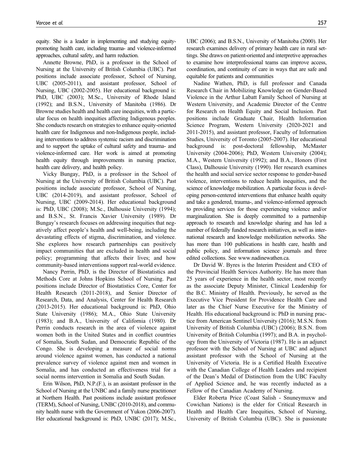equity. She is a leader in implementing and studying equitypromoting health care, including trauma- and violence-informed approaches, cultural safety, and harm reduction.

Annette Browne, PhD, is a professor in the School of Nursing at the University of British Columbia (UBC). Past positions include associate professor, School of Nursing, UBC (2005-2011), and assistant professor, School of Nursing, UBC (2002-2005). Her educational background is: PhD, UBC (2003); M.Sc., University of Rhode Island (1992); and B.S.N., University of Manitoba (1986). Dr Browne studies health and health care inequities, with a particular focus on health inequities affecting Indigenous peoples. She conducts research on strategies to enhance equity-oriented health care for Indigenous and non-Indigenous people, including interventions to address systemic racism and discrimination and to support the uptake of cultural safety and trauma- and violence-informed care. Her work is aimed at promoting health equity through improvements in nursing practice, health care delivery, and health policy.

Vicky Bungay, PhD, is a professor in the School of Nursing at the University of British Columbia (UBC). Past positions include associate professor, School of Nursing, UBC (2014-2019), and assistant professor, School of Nursing, UBC (2009-2014). Her educational background is: PhD, UBC (2008); M.Sc., Dalhousie University (1994); and B.S.N., St. Francis Xavier University (1989). Dr Bungay's research focuses on addressing inequities that negatively affect people's health and well-being, including the devastating effects of stigma, discrimination, and violence. She explores how research partnerships can positively impact communities that are excluded in health and social policy; programming that affects their lives; and how community-based interventions support real-world evidence.

Nancy Perrin, PhD, is the Director of Biostatistics and Methods Core at Johns Hopkins School of Nursing. Past positions include Director of Biostatistics Core, Center for Health Research (2011-2018), and Senior Director of Research, Data, and Analysis, Center for Health Research (2013-2015). Her educational background is: PhD, Ohio State University (1986); M.A., Ohio State University (1983); and B.A., University of California (1980). Dr Perrin conducts research in the area of violence against women both in the United States and in conflict countries of Somalia, South Sudan, and Democratic Republic of the Congo. She is developing a measure of social norms around violence against women, has conducted a national prevalence survey of violence against men and women in Somalia, and has conducted an effectiveness trial for a social norms intervention in Somalia and South Sudan.

Erin Wilson, PhD, N.P.(F.), is an assistant professor in the School of Nursing at the UNBC and a family nurse practitioner at Northern Health. Past positions include assistant professor (TERM), School of Nursing, UNBC (2010-2018), and community health nurse with the Government of Yukon (2006-2007). Her educational background is: PhD, UNBC (2017); M.Sc., UBC (2006); and B.S.N., University of Manitoba (2000). Her research examines delivery of primary health care in rural settings. She draws on patient-oriented and interpretive approaches to examine how interprofessional teams can improve access, coordination, and continuity of care in ways that are safe and equitable for patients and communities

Nadine Wathen, PhD, is full professor and Canada Research Chair in Mobilizing Knowledge on Gender-Based Violence in the Arthur Labatt Family School of Nursing at Western University, and Academic Director of the Centre for Research on Health Equity and Social Inclusion. Past positions include Graduate Chair, Health Information Science Program, Western University (2020-2021 and 2011-2015), and assistant professor, Faculty of Information Studies, University of Toronto (2005-2007). Her educational background is: post-doctoral fellowship, McMaster University (2004-2006); PhD, Western University (2004); M.A., Western University (1992); and B.A., Honors (First Class), Dalhousie University (1990). Her research examines the health and social service sector response to gender-based violence, interventions to reduce health inequities, and the science of knowledge mobilization. A particular focus is developing person-centered interventions that enhance health equity and take a gendered, trauma-, and violence-informed approach to providing services for those experiencing violence and/or marginalization. She is deeply committed to a partnership approach to research and knowledge sharing and has led a number of federally funded research initiatives, as well as international research and knowledge mobilization networks. She has more than 100 publications in health care, health and public policy, and information science journals and three edited collections. See<www.nadinewathen.ca>.

Dr David W. Byres is the Interim President and CEO of the Provincial Health Services Authority. He has more than 25 years of experience in the health sector, most recently as the associate Deputy Minister, Clinical Leadership for the B.C. Ministry of Health. Previously, he served as the Executive Vice President for Providence Health Care and later as the Chief Nurse Executive for the Ministry of Health. His educational background is: PhD in nursing practice from American Sentinel University (2016); M.S.N. from University of British Columbia (UBC) (2006); B.S.N. from University of British Columbia (1997); and B.A. in psychology from the University of Victoria (1987). He is an adjunct professor with the School of Nursing at UBC and adjunct assistant professor with the School of Nursing at the University of Victoria. He is a Certified Health Executive with the Canadian College of Health Leaders and recipient of the Dean's Medal of Distinction from the UBC Faculty of Applied Science and, he was recently inducted as a Fellow of the Canadian Academy of Nursing.

Elder Roberta Price (Coast Salish - Snuneymuxw and Cowichan Nations) is the elder for Critical Research in Health and Health Care Inequities, School of Nursing, University of British Columbia (UBC). She is passionate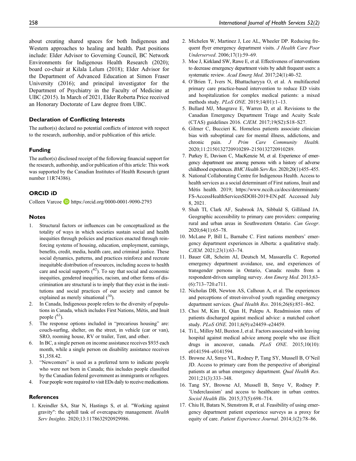about creating shared spaces for both Indigenous and Western approaches to healing and health. Past positions include: Elder Advisor to Governing Council, BC Network Environments for Indigenous Health Research (2020); board co-chair at Kilala Lelum (2018); Elder Advisor for the Department of Advanced Education at Simon Fraser University (2016); and principal investigator for the Department of Psychiatry in the Faculty of Medicine at UBC (2015). In March of 2021, Elder Roberta Price received an Honorary Doctorate of Law degree from UBC.

#### Declaration of Conflicting Interests

The author(s) declared no potential conflicts of interest with respect to the research, authorship, and/or publication of this article.

#### Funding

The author(s) disclosed receipt of the following financial support for the research, authorship, and/or publication of this article: This work was supported by the Canadian Institutes of Health Research (grant number 11R74386).

#### ORCID iD

Colleen Varcoe **b** <https://orcid.org/0000-0001-9090-2793>

#### Notes

- 1. Structural factors or influences can be conceptualized as the totality of ways in which societies sustain social and health inequities through policies and practices enacted through reinforcing systems of housing, education, employment, earnings, benefits, credit, media, health care, and criminal justice. These social dynamics, patterns, and practices reinforce and recreate inequitable distribution of resources, including access to health care and social supports  $(62)$ . To say that social and economic inequities, gendered inequities, racism, and other forms of discrimination are structural is to imply that they exist in the institutions and social practices of our society and cannot be explained as merely situational  $(^{30})$ .
- 2. In Canada, Indigenous people refers to the diversity of populations in Canada, which includes First Nations, Métis, and Inuit people  $(^{63})$ .
- 5. The response options included in "precarious housing" are: couch-surfing, shelter, on the street, in vehicle (car or van), SRO, rooming house, RV or trailer, Tent, and other.
- 6. In BC, a single person on income assistance receives \$935 each month, while a single person on disability assistance receives \$1,358.42.
- 3. "Newcomers" is used as a preferred term to indicate people who were not born in Canada; this includes people classified by the Canadian federal government as immigrants or refugees.
- 4. Four people were required to visit EDs daily to receive medications.

#### **References**

1. Kreindler SA, Star N, Hastings S, et al. "Working against gravity": the uphill task of overcapacity management. Health Serv Insights. 2020;13:1178632920929986.

- 2. Michelen W, Martinez J, Lee AL, Wheeler DP. Reducing frequent flyer emergency department visits. J Health Care Poor Underserved. 2006;17(1):59–69.
- 3. Moe J, Kirkland SW, Rawe E, et al. Effectiveness of interventions to decrease emergency department visits by adult frequent users: a systematic review. Acad Emerg Med. 2017;24(1):40–52.
- 4. O'Brien T, Ivers N, Bhattacharyya O, et al. A multifaceted primary care practice-based intervention to reduce ED visits and hospitalization for complex medical patients: a mixed methods study. PLoS ONE. 2019;14(01):1–13.
- 5. Bullard MJ, Musgrave E, Warren D, et al. Revisions to the Canadian Emergency Department Triage and Acuity Scale (CTAS) guidelines 2016. CJEM. 2017;19(S2):S18–S27.
- 6. Gilmer C, Buccieri K. Homeless patients associate clinician bias with suboptimal care for mental illness, addictions, and chronic pain. J Prim Care Community Health. 2020;11:2150132720910289–2150132720910289.
- 7. Purkey E, Davison C, MacKenzie M, et al. Experience of emergency department use among persons with a history of adverse childhood experiences. BMC Health Serv Res. 2020;20(1):455–455.
- 8. National Collaborating Centre for Indigenous Health. Access to health services as a social determinant of First nations, Inuit and Métis health. 2019; https://www.nccih.ca/docs/determinants/ FS-AccessHealthServicesSDOH-2019-EN.pdf. Accessed July 8, 2021.
- 9. Shah TI, Clark AF, Seabrook JA, Sibbald S, Gilliland JA. Geographic accessibility to primary care providers: comparing rural and urban areas in Southwestern Ontario. Can Geogr. 2020;64(1):65–78.
- 10. McLane P, Bill L, Barnabe C. First nations members' emergency department experiences in Alberta: a qualitative study. CJEM. 2021;23(1):63–74.
- 11. Bauer GR, Scheim AI, Deutsch M, Massarella C. Reported emergency department avoidance, use, and experiences of transgender persons in Ontario, Canada: results from a respondent-driven sampling survey. Ann Emerg Med. 2013;63- (6):713–720.e711.
- 12. Nicholas DB, Newton AS, Calhoun A, et al. The experiences and perceptions of street-involved youth regarding emergency department services. Qual Health Res. 2016;26(6):851–862.
- 13. Choi M, Kim H, Qian H, Palepu A. Readmission rates of patients discharged against medical advice: a matched cohort study. PLoS ONE. 2011;6(9):e24459–e24459.
- 14. Ti L, Milloy MJ, Buxton J, et al. Factors associated with leaving hospital against medical advice among people who use illicit drugs in ancouver, canada. PLoS ONE. 2015;10(10): e0141594–e0141594.
- 15. Browne AJ, Smye VL, Rodney P, Tang SY, Mussell B, O'Neil JD. Access to primary care from the perspective of aboriginal patients at an urban emergency department. Qual Health Res. 2011;21(3):333–348.
- 16. Tang SY, Browne AJ, Mussell B, Smye V, Rodney P. 'Underclassism' and access to healthcare in urban centres. Sociol Health Illn. 2015;37(5):698–714.
- 17. Chiu H, Batara N, Stenstrom R, et al. Feasibility of using emergency department patient experience surveys as a proxy for equity of care. Patient Experience Journal. 2014;1(2):78–86.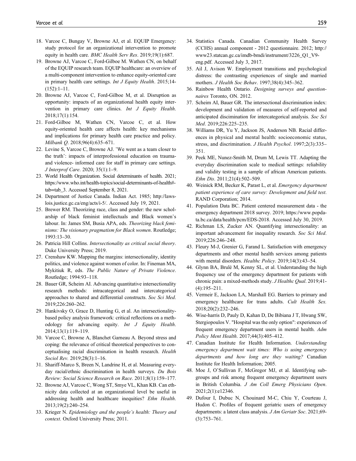- 18. Varcoe C, Bungay V, Browne AJ, et al. EQUIP Emergency: study protocol for an organizational intervention to promote equity in health care. BMC Health Serv Res. 2019;19(1):687.
- 19. Browne AJ, Varcoe C, Ford-Gilboe M. Wathen CN, on behalf of the EQUIP research team. EQUIP healthcare: an overview of a multi-component intervention to enhance equity-oriented care in primary health care settings. Int J Equity Health. 2015;14-(152):1–11.
- 20. Browne AJ, Varcoe C, Ford-Gilboe M, et al. Disruption as opportunity: impacts of an organizational health equity intervention in primary care clinics. Int J Equity Health. 2018;17(1):154.
- 21. Ford-Gilboe M, Wathen CN, Varcoe C, et al. How equity-oriented health care affects health: key mechanisms and implications for primary health care practice and policy. Milbank Q. 2018;96(4):635–671.
- 22. Levine S, Varcoe C, Browne AJ. 'We went as a team closer to the truth': impacts of interprofessional education on traumaand violence- informed care for staff in primary care settings. J Interprof Care. 2020; 35(1):1–9.
- 23. World Health Organization. Social determinants of health. 2021; https://www.who.int/health-topics/social-determinants-of-health# tab=tab\_3. Accessed September 8, 2021.
- 24. Department of Justice Canada. Indian Act. 1985; http://lawslois.justice.gc.ca/eng/acts/i-5/. Accessed July 19, 2021.
- 25. Brewer RM. Theorizing race, class and gender: the new scholarship of black feminist intellectuals and Black women's labour. In: James SM, Busia APA, eds. Theorizing black feminisms: The visionary pragmatism for Black women. Routledge; 1993:13–30.
- 26. Patricia Hill Collins. Intersectionality as critical social theory. Duke University Press; 2019.
- 27. Crenshaw KW. Mapping the margins: intersectionality, identity politics, and violence against women of color. In: Fineman MA, Mykitiuk R, eds. The Public Nature of Private Violence. Routledge; 1994:93–118.
- 28. Bauer GR, Scheim AI. Advancing quantitative intersectionality research methods: intracategorical and intercategorical approaches to shared and differential constructs. Soc Sci Med. 2019;226:260–262.
- 29. Hankivsky O, Grace D, Hunting G, et al. An intersectionalitybased policy analysis framework: critical reflections on a methodology for advancing equity. Int J Equity Health. 2014;13(1):119–119.
- 30. Varcoe C, Browne A, Blanchet Garneau A. Beyond stress and coping: the relevance of critical theoretical perspectives to conceptualising racial discrimination in health research. Health Sociol Rev. 2019;28(3):1–16.
- 31. Shariff-Marco S, Breen N, Landrine H, et al. Measuring everyday racial/ethnic discrimination in health surveys. Du Bois Review: Social Science Research on Race. 2011;8(1):159–177.
- 32. Browne AJ, Varcoe C, Wong ST, Smye VL, Khan KB. Can ethnicity data collected at an organizational level be useful in addressing health and healthcare inequities? Ethn Health. 2013;19(2):240–254.
- 33. Krieger N. Epidemiology and the people's health: Theory and context. Oxford University Press; 2011.
- 34. Statistics Canada. Canadian Community Health Survey (CCHS) annual component - 2012 questionnaire. 2012; http:// www23.statcan.gc.ca/imdb-bmdi/instrument/3226\_Q1\_V9 eng.pdf. Accessed July 3, 2017.
- 35. Ail J, Avison W. Employment transitions and psychological distress: the contrasting experiences of single and married mothers. J Health Soc Behav. 1997;38(4):345–362.
- 36. Rainbow Health Ontario. Designing surveys and questionnaires Toronto, ON. 2012.
- 37. Scheim AI, Bauer GR. The intersectional discrimination index: development and validation of measures of self-reported and anticipated discimination for intercategorical analysis. Soc Sci Med. 2019;226:225–235.
- 38. Williams DR, Yu Y, Jackson JS, Anderson NB. Racial differences in physical and mental health: socioeconomic status, stress, and discrimination. J Health Psychol. 1997;2(3):335– 351.
- 39. Peek ME, Nunez-Smith M, Drum M, Lewis TT. Adapting the everyday discrimination scale to medical settings: reliability and validity testing in a sample of african American patients. Ethn Dis. 2011;21(4):502–509.
- 40. Weinick RM, Becker K, Parast L, et al. Emergency department patient experience of care survey: Development and field test. RAND Corporation; 2014.
- 41. Population Data BC. Patient centered measurement data the emergency department 2018 survey. 2019; https://www.popdata.bc.ca/data/health/pcm/EDS-2018. Accessed July 30, 2019.
- 42. Richman LS, Zucker AN. Quantifying intersectionality: an important advancement for inequality research. Soc Sci Med. 2019;226:246–248.
- 43. Fleury M-J, Grenier G, Farand L. Satisfaction with emergency departments and other mental health services among patients with mental disorders. Healthc Policy. 2019;14(3):43-54.
- 44. Glynn BA, Brulé M, Kenny SL, et al. Understanding the high frequency use of the emergency department for patients with chronic pain: a mixed-methods study. *J Healthc Oual*. 2019;41-(4):195–211.
- 45. Vermeir E, Jackson LA, Marshall EG. Barriers to primary and emergency healthcare for trans adults. Cult Health Sex. 2018;20(2):232–246.
- 46. Wise-harris D, Pauly D, Kahan D, De Bibiana J T, Hwang SW, Stergiopoulos V. "Hospital was the only option": experiences of frequent emergency department users in mental health. Adm Policy Ment Health. 2017;44(3):405–412.
- 47. Canadian Institute for Health Information. Understanding emergency department wait times: Who is using emergency departments and how long are they waiting? Canadian Institute for Health Information; 2005.
- 48. Moe J, O'Sullivan F, McGregor MJ, et al. Identifying subgroups and risk among frequent emergency department users in British Columbia. J Am Coll Emerg Physicians Open. 2021;2(1):e12346.
- 49. Dufour I, Dubuc N, Chouinard M-C, Chiu Y, Courteau J, Hudon C. Profiles of frequent geriatric users of emergency departments: a latent class analysis. *J Am Geriatr Soc.* 2021;69-(3):753–761.